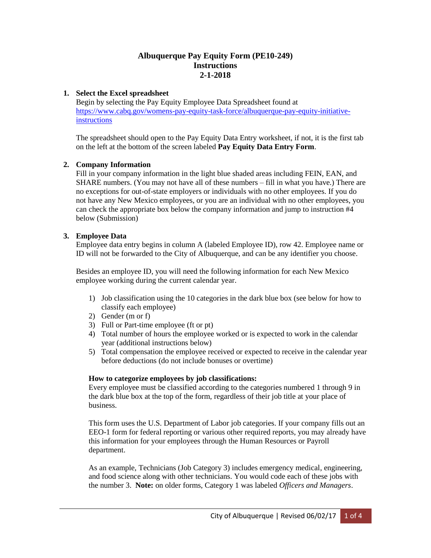## **Albuquerque Pay Equity Form (PE10-249) Instructions 2-1-2018**

## **1. Select the Excel spreadsheet**

Begin by selecting the Pay Equity Employee Data Spreadsheet found at [https://www.cabq.gov/womens-pay-equity-task-force/albuquerque-pay-equity-initiative](https://www.cabq.gov/womens-pay-equity-task-force/albuquerque-pay-equity-initiative-instructions)[instructions](https://www.cabq.gov/womens-pay-equity-task-force/albuquerque-pay-equity-initiative-instructions)

The spreadsheet should open to the Pay Equity Data Entry worksheet, if not, it is the first tab on the left at the bottom of the screen labeled **Pay Equity Data Entry Form**.

## **2. Company Information**

Fill in your company information in the light blue shaded areas including FEIN, EAN, and SHARE numbers. (You may not have all of these numbers – fill in what you have.) There are no exceptions for out-of-state employers or individuals with no other employees. If you do not have any New Mexico employees, or you are an individual with no other employees, you can check the appropriate box below the company information and jump to instruction #4 below (Submission)

### **3. Employee Data**

Employee data entry begins in column A (labeled Employee ID), row 42. Employee name or ID will not be forwarded to the City of Albuquerque, and can be any identifier you choose.

Besides an employee ID, you will need the following information for each New Mexico employee working during the current calendar year.

- 1) Job classification using the 10 categories in the dark blue box (see below for how to classify each employee)
- 2) Gender (m or f)
- 3) Full or Part-time employee (ft or pt)
- 4) Total number of hours the employee worked or is expected to work in the calendar year (additional instructions below)
- 5) Total compensation the employee received or expected to receive in the calendar year before deductions (do not include bonuses or overtime)

### **How to categorize employees by job classifications:**

Every employee must be classified according to the categories numbered 1 through 9 in the dark blue box at the top of the form, regardless of their job title at your place of business.

This form uses the U.S. Department of Labor job categories. If your company fills out an EEO-1 form for federal reporting or various other required reports, you may already have this information for your employees through the Human Resources or Payroll department.

As an example, Technicians (Job Category 3) includes emergency medical, engineering, and food science along with other technicians. You would code each of these jobs with the number 3. **Note:** on older forms, Category 1 was labeled *Officers and Managers*.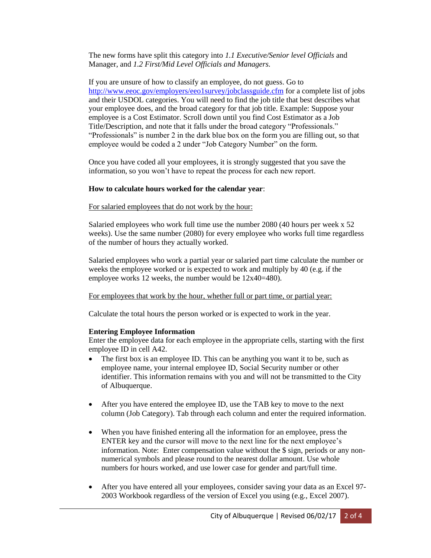The new forms have split this category into *1.1 Executive/Senior level Officials* and Manager, and *1.2 First/Mid Level Officials and Managers.*

If you are unsure of how to classify an employee, do not guess. Go to <http://www.eeoc.gov/employers/eeo1survey/jobclassguide.cfm> for a complete list of jobs and their USDOL categories. You will need to find the job title that best describes what your employee does, and the broad category for that job title. Example: Suppose your employee is a Cost Estimator. Scroll down until you find Cost Estimator as a Job Title/Description, and note that it falls under the broad category "Professionals." "Professionals" is number 2 in the dark blue box on the form you are filling out, so that employee would be coded a 2 under "Job Category Number" on the form.

Once you have coded all your employees, it is strongly suggested that you save the information, so you won't have to repeat the process for each new report.

### **How to calculate hours worked for the calendar year**:

For salaried employees that do not work by the hour:

Salaried employees who work full time use the number 2080 (40 hours per week x 52 weeks). Use the same number (2080) for every employee who works full time regardless of the number of hours they actually worked.

Salaried employees who work a partial year or salaried part time calculate the number or weeks the employee worked or is expected to work and multiply by 40 (e.g. if the employee works 12 weeks, the number would be 12x40=480).

For employees that work by the hour, whether full or part time, or partial year:

Calculate the total hours the person worked or is expected to work in the year.

### **Entering Employee Information**

Enter the employee data for each employee in the appropriate cells, starting with the first employee ID in cell A42.

- The first box is an employee ID. This can be anything you want it to be, such as employee name, your internal employee ID, Social Security number or other identifier. This information remains with you and will not be transmitted to the City of Albuquerque.
- After you have entered the employee ID, use the TAB key to move to the next column (Job Category). Tab through each column and enter the required information.
- When you have finished entering all the information for an employee, press the ENTER key and the cursor will move to the next line for the next employee's information. Note: Enter compensation value without the \$ sign, periods or any nonnumerical symbols and please round to the nearest dollar amount. Use whole numbers for hours worked, and use lower case for gender and part/full time.
- After you have entered all your employees, consider saving your data as an Excel 97- 2003 Workbook regardless of the version of Excel you using (e.g., Excel 2007).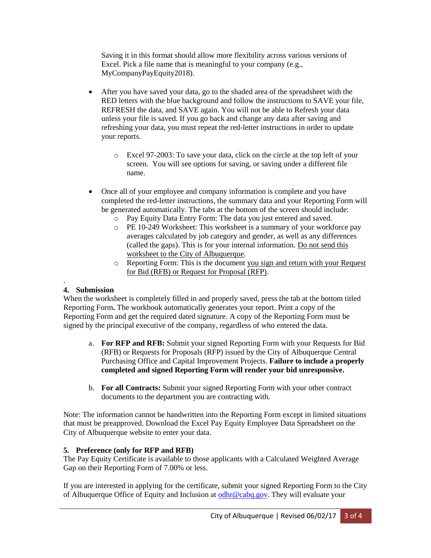Saving it in this format should allow more flexibility across various versions of Excel. Pick a file name that is meaningful to your company (e.g., MyCompanyPayEquity2018).

- After you have saved your data, go to the shaded area of the spreadsheet with the RED letters with the blue background and follow the instructions to SAVE your file, REFRESH the data, and SAVE again. You will not be able to Refresh your data unless your file is saved. If you go back and change any data after saving and refreshing your data, you must repeat the red-letter instructions in order to update your reports.
	- o Excel 97-2003: To save your data, click on the circle at the top left of your screen. You will see options for saving, or saving under a different file name.
- Once all of your employee and company information is complete and you have completed the red-letter instructions, the summary data and your Reporting Form will be generated automatically. The tabs at the bottom of the screen should include:
	- o Pay Equity Data Entry Form: The data you just entered and saved.
	- o PE 10-249 Worksheet: This worksheet is a summary of your workforce pay averages calculated by job category and gender, as well as any differences (called the gaps). This is for your internal information. Do not send this worksheet to the City of Albuquerque.
	- o Reporting Form: This is the document you sign and return with your Request for Bid (RFB) or Request for Proposal (RFP).

#### . **4. Submission**

When the worksheet is completely filled in and properly saved, press the tab at the bottom titled Reporting Form**.** The workbook automatically generates your report. Print a copy of the Reporting Form and get the required dated signature. A copy of the Reporting Form must be signed by the principal executive of the company, regardless of who entered the data.

- a. **For RFP and RFB:** Submit your signed Reporting Form with your Requests for Bid (RFB) or Requests for Proposals (RFP) issued by the City of Albuquerque Central Purchasing Office and Capital Improvement Projects. **Failure to include a properly completed and signed Reporting Form will render your bid unresponsive.**
- b. **For all Contracts:** Submit your signed Reporting Form with your other contract documents to the department you are contracting with.

Note: The information cannot be handwritten into the Reporting Form except in limited situations that must be preapproved. Download the Excel Pay Equity Employee Data Spreadsheet on the City of Albuquerque website to enter your data.

## **5. Preference (only for RFP and RFB)**

The Pay Equity Certificate is available to those applicants with a Calculated Weighted Average Gap on their Reporting Form of 7.00% or less.

If you are interested in applying for the certificate, submit your signed Reporting Form to the City of Albuquerque Office of Equity and Inclusion at [odhr@cabq.gov.](mailto:odhr@cabq.gov) They will evaluate your